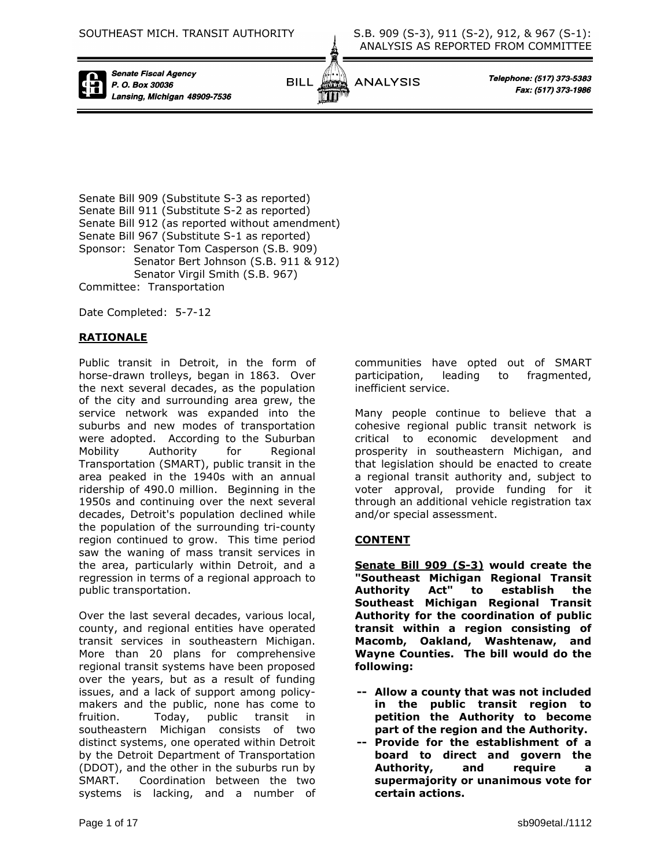Senate Fiscal Agency

Lansing, Michigan 48909-7536

P. O. Box 30036





**BILL** 

Telephone: (517) 373-5383 Fax: (517) 373-1986

Senate Bill 909 (Substitute S-3 as reported) Senate Bill 911 (Substitute S-2 as reported) Senate Bill 912 (as reported without amendment) Senate Bill 967 (Substitute S-1 as reported) Sponsor: Senator Tom Casperson (S.B. 909) Senator Bert Johnson (S.B. 911 & 912) Senator Virgil Smith (S.B. 967) Committee: Transportation

Date Completed: 5-7-12

## **RATIONALE**

Public transit in Detroit, in the form of horse-drawn trolleys, began in 1863. Over the next several decades, as the population of the city and surrounding area grew, the service network was expanded into the suburbs and new modes of transportation were adopted. According to the Suburban Mobility Authority for Regional Transportation (SMART), public transit in the area peaked in the 1940s with an annual ridership of 490.0 million. Beginning in the 1950s and continuing over the next several decades, Detroit's population declined while the population of the surrounding tri-county region continued to grow. This time period saw the waning of mass transit services in the area, particularly within Detroit, and a regression in terms of a regional approach to public transportation.

Over the last several decades, various local, county, and regional entities have operated transit services in southeastern Michigan. More than 20 plans for comprehensive regional transit systems have been proposed over the years, but as a result of funding issues, and a lack of support among policymakers and the public, none has come to fruition. Today, public transit in southeastern Michigan consists of two distinct systems, one operated within Detroit by the Detroit Department of Transportation (DDOT), and the other in the suburbs run by SMART. Coordination between the two systems is lacking, and a number of

communities have opted out of SMART participation, leading to fragmented, inefficient service.

Many people continue to believe that a cohesive regional public transit network is critical to economic development and prosperity in southeastern Michigan, and that legislation should be enacted to create a regional transit authority and, subject to voter approval, provide funding for it through an additional vehicle registration tax and/or special assessment.

## **CONTENT**

**Senate Bill 909 (S-3) would create the "Southeast Michigan Regional Transit Authority Act" to establish the Southeast Michigan Regional Transit Authority for the coordination of public transit within a region consisting of Macomb, Oakland, Washtenaw, and Wayne Counties. The bill would do the following:**

- **-- Allow a county that was not included in the public transit region to petition the Authority to become part of the region and the Authority.**
- **-- Provide for the establishment of a board to direct and govern the**  Authority, and require **supermajority or unanimous vote for certain actions.**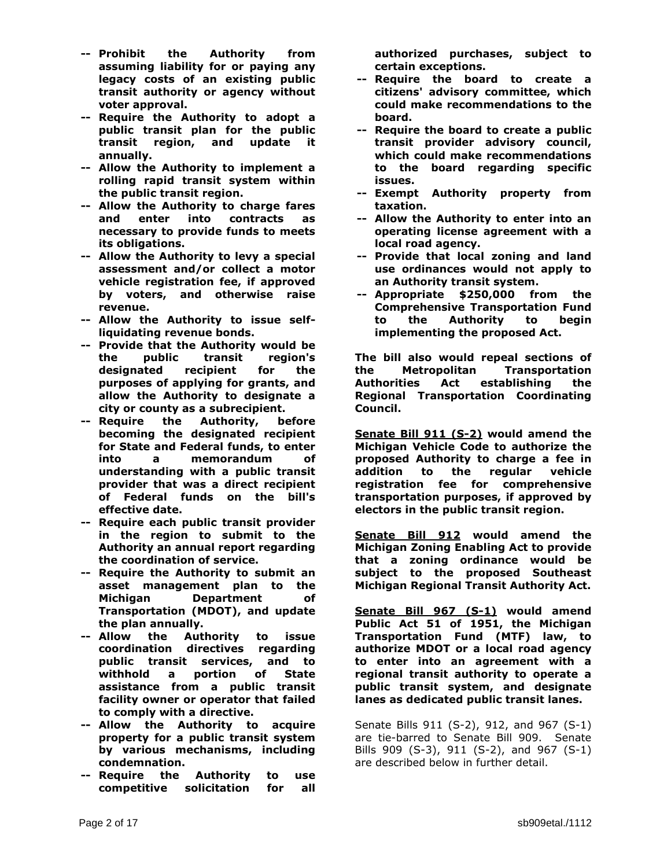- **-- Prohibit the Authority from assuming liability for or paying any legacy costs of an existing public transit authority or agency without voter approval.**
- **-- Require the Authority to adopt a public transit plan for the public transit region, and update it annually.**
- **-- Allow the Authority to implement a rolling rapid transit system within the public transit region.**
- **-- Allow the Authority to charge fares and enter into contracts as necessary to provide funds to meets its obligations.**
- **-- Allow the Authority to levy a special assessment and/or collect a motor vehicle registration fee, if approved by voters, and otherwise raise revenue.**
- **-- Allow the Authority to issue selfliquidating revenue bonds.**
- **-- Provide that the Authority would be the public transit region's designated recipient for the purposes of applying for grants, and allow the Authority to designate a city or county as a subrecipient.**
- **-- Require the Authority, before becoming the designated recipient for State and Federal funds, to enter into a memorandum of understanding with a public transit provider that was a direct recipient of Federal funds on the bill's effective date.**
- **-- Require each public transit provider in the region to submit to the Authority an annual report regarding the coordination of service.**
- **-- Require the Authority to submit an asset management plan to the Michigan Department of Transportation (MDOT), and update the plan annually.**
- **-- Allow the Authority to issue coordination directives regarding public transit services, and to withhold a portion of State assistance from a public transit facility owner or operator that failed to comply with a directive.**
- **-- Allow the Authority to acquire property for a public transit system by various mechanisms, including condemnation.**
- **-- Require the Authority to use competitive solicitation for all**

**authorized purchases, subject to certain exceptions.**

- **-- Require the board to create a citizens' advisory committee, which could make recommendations to the board.**
- **-- Require the board to create a public transit provider advisory council, which could make recommendations to the board regarding specific issues.**
- **-- Exempt Authority property from taxation.**
- **-- Allow the Authority to enter into an operating license agreement with a local road agency.**
- **-- Provide that local zoning and land use ordinances would not apply to an Authority transit system.**
- **-- Appropriate \$250,000 from the Comprehensive Transportation Fund to the Authority to begin implementing the proposed Act.**

**The bill also would repeal sections of the Metropolitan Transportation Authorities Act establishing the Regional Transportation Coordinating Council.**

**Senate Bill 911 (S-2) would amend the Michigan Vehicle Code to authorize the proposed Authority to charge a fee in addition to the regular vehicle registration fee for comprehensive transportation purposes, if approved by electors in the public transit region.**

**Senate Bill 912 would amend the Michigan Zoning Enabling Act to provide that a zoning ordinance would be subject to the proposed Southeast Michigan Regional Transit Authority Act.**

**Senate Bill 967 (S-1) would amend Public Act 51 of 1951, the Michigan Transportation Fund (MTF) law, to authorize MDOT or a local road agency to enter into an agreement with a regional transit authority to operate a public transit system, and designate lanes as dedicated public transit lanes.**

Senate Bills 911 (S-2), 912, and 967 (S-1) are tie-barred to Senate Bill 909. Senate Bills 909 (S-3), 911 (S-2), and 967 (S-1) are described below in further detail.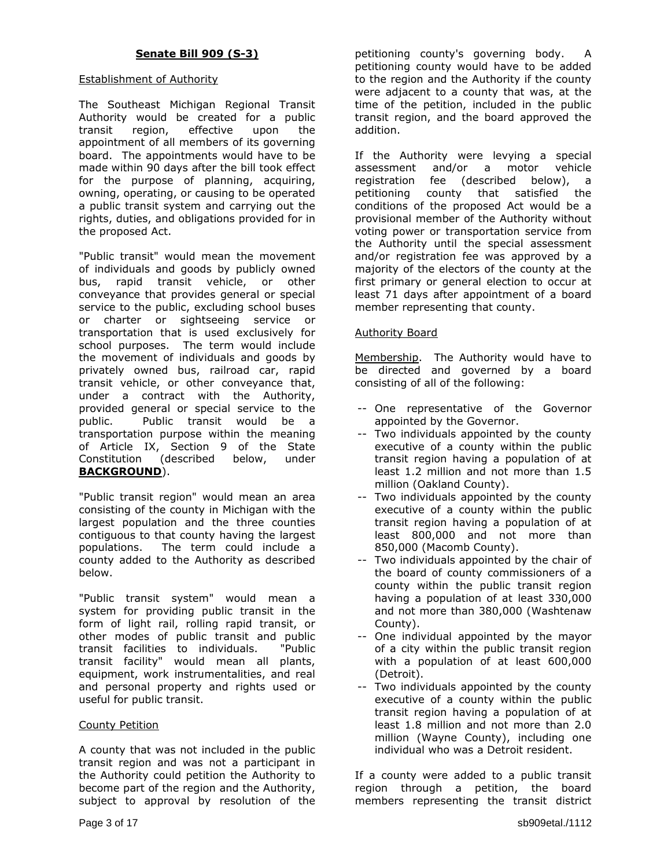## Establishment of Authority

The Southeast Michigan Regional Transit Authority would be created for a public transit region, effective upon the appointment of all members of its governing board. The appointments would have to be made within 90 days after the bill took effect for the purpose of planning, acquiring, owning, operating, or causing to be operated a public transit system and carrying out the rights, duties, and obligations provided for in the proposed Act.

"Public transit" would mean the movement of individuals and goods by publicly owned bus, rapid transit vehicle, or other conveyance that provides general or special service to the public, excluding school buses or charter or sightseeing service or transportation that is used exclusively for school purposes. The term would include the movement of individuals and goods by privately owned bus, railroad car, rapid transit vehicle, or other conveyance that, under a contract with the Authority, provided general or special service to the public. Public transit would be a transportation purpose within the meaning of Article IX, Section 9 of the State Constitution (described below, under **BACKGROUND**).

"Public transit region" would mean an area consisting of the county in Michigan with the largest population and the three counties contiguous to that county having the largest populations. The term could include a county added to the Authority as described below.

"Public transit system" would mean a system for providing public transit in the form of light rail, rolling rapid transit, or other modes of public transit and public transit facilities to individuals. "Public transit facility" would mean all plants, equipment, work instrumentalities, and real and personal property and rights used or useful for public transit.

### County Petition

A county that was not included in the public transit region and was not a participant in the Authority could petition the Authority to become part of the region and the Authority, subject to approval by resolution of the

petitioning county's governing body. A petitioning county would have to be added to the region and the Authority if the county were adjacent to a county that was, at the time of the petition, included in the public transit region, and the board approved the addition.

If the Authority were levying a special assessment and/or a motor vehicle registration fee (described below), a petitioning county that satisfied the conditions of the proposed Act would be a provisional member of the Authority without voting power or transportation service from the Authority until the special assessment and/or registration fee was approved by a majority of the electors of the county at the first primary or general election to occur at least 71 days after appointment of a board member representing that county.

### Authority Board

Membership. The Authority would have to be directed and governed by a board consisting of all of the following:

- -- One representative of the Governor appointed by the Governor.
- -- Two individuals appointed by the county executive of a county within the public transit region having a population of at least 1.2 million and not more than 1.5 million (Oakland County).
- -- Two individuals appointed by the county executive of a county within the public transit region having a population of at least 800,000 and not more than 850,000 (Macomb County).
- -- Two individuals appointed by the chair of the board of county commissioners of a county within the public transit region having a population of at least 330,000 and not more than 380,000 (Washtenaw County).
- -- One individual appointed by the mayor of a city within the public transit region with a population of at least 600,000 (Detroit).
- -- Two individuals appointed by the county executive of a county within the public transit region having a population of at least 1.8 million and not more than 2.0 million (Wayne County), including one individual who was a Detroit resident.

If a county were added to a public transit region through a petition, the board members representing the transit district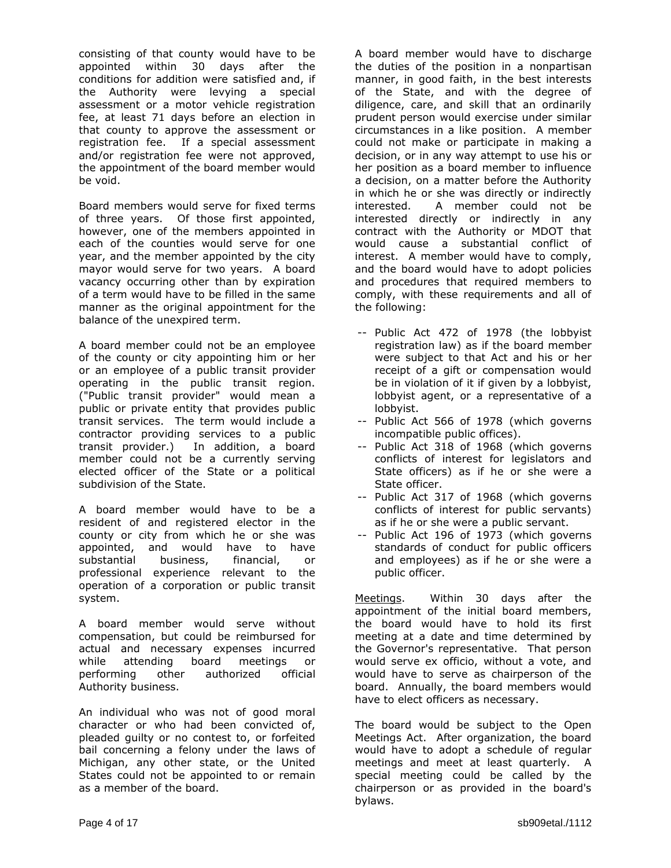consisting of that county would have to be appointed within 30 days after the conditions for addition were satisfied and, if the Authority were levying a special assessment or a motor vehicle registration fee, at least 71 days before an election in that county to approve the assessment or registration fee. If a special assessment and/or registration fee were not approved, the appointment of the board member would be void.

Board members would serve for fixed terms of three years. Of those first appointed, however, one of the members appointed in each of the counties would serve for one year, and the member appointed by the city mayor would serve for two years. A board vacancy occurring other than by expiration of a term would have to be filled in the same manner as the original appointment for the balance of the unexpired term.

A board member could not be an employee of the county or city appointing him or her or an employee of a public transit provider operating in the public transit region. ("Public transit provider" would mean a public or private entity that provides public transit services. The term would include a contractor providing services to a public transit provider.) In addition, a board member could not be a currently serving elected officer of the State or a political subdivision of the State.

A board member would have to be a resident of and registered elector in the county or city from which he or she was appointed, and would have to have substantial business, financial, or professional experience relevant to the operation of a corporation or public transit system.

A board member would serve without compensation, but could be reimbursed for actual and necessary expenses incurred while attending board meetings or performing other authorized official Authority business.

An individual who was not of good moral character or who had been convicted of, pleaded guilty or no contest to, or forfeited bail concerning a felony under the laws of Michigan, any other state, or the United States could not be appointed to or remain as a member of the board.

A board member would have to discharge the duties of the position in a nonpartisan manner, in good faith, in the best interests of the State, and with the degree of diligence, care, and skill that an ordinarily prudent person would exercise under similar circumstances in a like position. A member could not make or participate in making a decision, or in any way attempt to use his or her position as a board member to influence a decision, on a matter before the Authority in which he or she was directly or indirectly interested. A member could not be interested directly or indirectly in any contract with the Authority or MDOT that would cause a substantial conflict of interest. A member would have to comply, and the board would have to adopt policies and procedures that required members to comply, with these requirements and all of the following:

- -- Public Act 472 of 1978 (the lobbyist registration law) as if the board member were subject to that Act and his or her receipt of a gift or compensation would be in violation of it if given by a lobbyist, lobbyist agent, or a representative of a lobbyist.
- -- Public Act 566 of 1978 (which governs incompatible public offices).
- -- Public Act 318 of 1968 (which governs conflicts of interest for legislators and State officers) as if he or she were a State officer.
- -- Public Act 317 of 1968 (which governs conflicts of interest for public servants) as if he or she were a public servant.
- -- Public Act 196 of 1973 (which governs standards of conduct for public officers and employees) as if he or she were a public officer.

Meetings. Within 30 days after the appointment of the initial board members, the board would have to hold its first meeting at a date and time determined by the Governor's representative. That person would serve ex officio, without a vote, and would have to serve as chairperson of the board. Annually, the board members would have to elect officers as necessary.

The board would be subject to the Open Meetings Act. After organization, the board would have to adopt a schedule of regular meetings and meet at least quarterly. A special meeting could be called by the chairperson or as provided in the board's bylaws.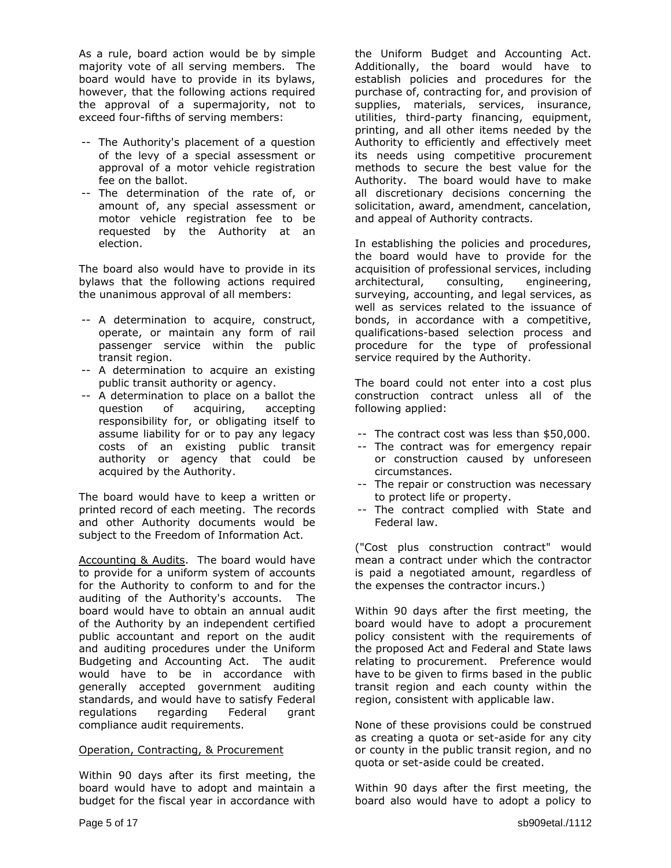As a rule, board action would be by simple majority vote of all serving members. The board would have to provide in its bylaws, however, that the following actions required the approval of a supermajority, not to exceed four-fifths of serving members:

- -- The Authority's placement of a question of the levy of a special assessment or approval of a motor vehicle registration fee on the ballot.
- -- The determination of the rate of, or amount of, any special assessment or motor vehicle registration fee to be requested by the Authority at an election.

The board also would have to provide in its bylaws that the following actions required the unanimous approval of all members:

- -- A determination to acquire, construct, operate, or maintain any form of rail passenger service within the public transit region.
- -- A determination to acquire an existing public transit authority or agency.
- -- A determination to place on a ballot the question of acquiring, accepting responsibility for, or obligating itself to assume liability for or to pay any legacy costs of an existing public transit authority or agency that could be acquired by the Authority.

The board would have to keep a written or printed record of each meeting. The records and other Authority documents would be subject to the Freedom of Information Act.

Accounting & Audits. The board would have to provide for a uniform system of accounts for the Authority to conform to and for the auditing of the Authority's accounts. The board would have to obtain an annual audit of the Authority by an independent certified public accountant and report on the audit and auditing procedures under the Uniform Budgeting and Accounting Act. The audit would have to be in accordance with generally accepted government auditing standards, and would have to satisfy Federal regulations regarding Federal grant compliance audit requirements.

### Operation, Contracting, & Procurement

Within 90 days after its first meeting, the board would have to adopt and maintain a budget for the fiscal year in accordance with the Uniform Budget and Accounting Act. Additionally, the board would have to establish policies and procedures for the purchase of, contracting for, and provision of supplies, materials, services, insurance, utilities, third-party financing, equipment, printing, and all other items needed by the Authority to efficiently and effectively meet its needs using competitive procurement methods to secure the best value for the Authority. The board would have to make all discretionary decisions concerning the solicitation, award, amendment, cancelation, and appeal of Authority contracts.

In establishing the policies and procedures, the board would have to provide for the acquisition of professional services, including architectural, consulting, engineering, surveying, accounting, and legal services, as well as services related to the issuance of bonds, in accordance with a competitive, qualifications-based selection process and procedure for the type of professional service required by the Authority.

The board could not enter into a cost plus construction contract unless all of the following applied:

- -- The contract cost was less than \$50,000.
- -- The contract was for emergency repair or construction caused by unforeseen circumstances.
- -- The repair or construction was necessary to protect life or property.
- -- The contract complied with State and Federal law.

("Cost plus construction contract" would mean a contract under which the contractor is paid a negotiated amount, regardless of the expenses the contractor incurs.)

Within 90 days after the first meeting, the board would have to adopt a procurement policy consistent with the requirements of the proposed Act and Federal and State laws relating to procurement. Preference would have to be given to firms based in the public transit region and each county within the region, consistent with applicable law.

None of these provisions could be construed as creating a quota or set-aside for any city or county in the public transit region, and no quota or set-aside could be created.

Within 90 days after the first meeting, the board also would have to adopt a policy to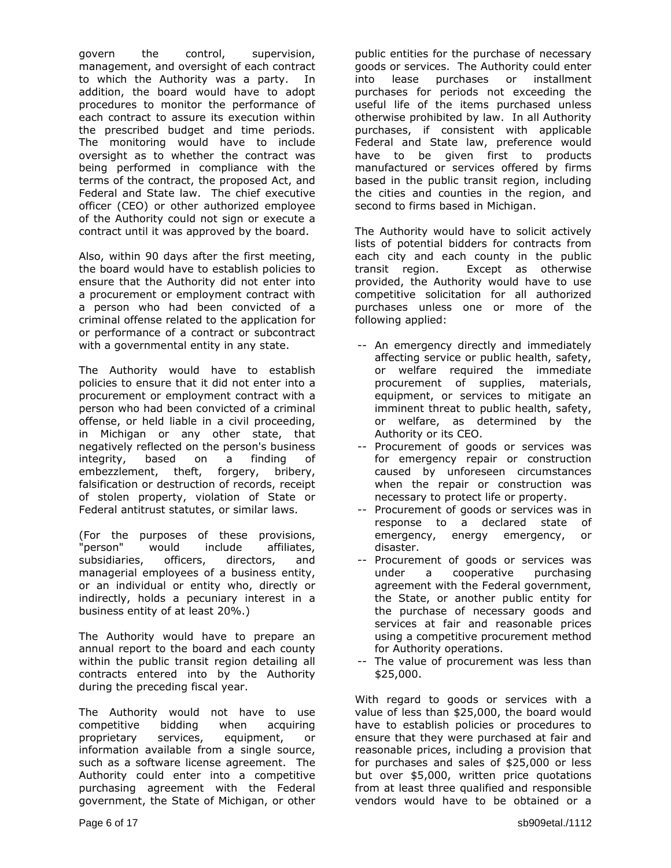govern the control, supervision, management, and oversight of each contract to which the Authority was a party. In addition, the board would have to adopt procedures to monitor the performance of each contract to assure its execution within the prescribed budget and time periods. The monitoring would have to include oversight as to whether the contract was being performed in compliance with the terms of the contract, the proposed Act, and Federal and State law. The chief executive officer (CEO) or other authorized employee of the Authority could not sign or execute a contract until it was approved by the board.

Also, within 90 days after the first meeting, the board would have to establish policies to ensure that the Authority did not enter into a procurement or employment contract with a person who had been convicted of a criminal offense related to the application for or performance of a contract or subcontract with a governmental entity in any state.

The Authority would have to establish policies to ensure that it did not enter into a procurement or employment contract with a person who had been convicted of a criminal offense, or held liable in a civil proceeding, in Michigan or any other state, that negatively reflected on the person's business integrity, based on a finding of embezzlement, theft, forgery, bribery, falsification or destruction of records, receipt of stolen property, violation of State or Federal antitrust statutes, or similar laws.

(For the purposes of these provisions, "person" would include affiliates, subsidiaries, officers, directors, and managerial employees of a business entity, or an individual or entity who, directly or indirectly, holds a pecuniary interest in a business entity of at least 20%.)

The Authority would have to prepare an annual report to the board and each county within the public transit region detailing all contracts entered into by the Authority during the preceding fiscal year.

The Authority would not have to use competitive bidding when acquiring proprietary services, equipment, or information available from a single source, such as a software license agreement. The Authority could enter into a competitive purchasing agreement with the Federal government, the State of Michigan, or other

public entities for the purchase of necessary goods or services. The Authority could enter into lease purchases or installment purchases for periods not exceeding the useful life of the items purchased unless otherwise prohibited by law. In all Authority purchases, if consistent with applicable Federal and State law, preference would have to be given first to products manufactured or services offered by firms based in the public transit region, including the cities and counties in the region, and second to firms based in Michigan.

The Authority would have to solicit actively lists of potential bidders for contracts from each city and each county in the public transit region. Except as otherwise provided, the Authority would have to use competitive solicitation for all authorized purchases unless one or more of the following applied:

- -- An emergency directly and immediately affecting service or public health, safety, or welfare required the immediate procurement of supplies, materials, equipment, or services to mitigate an imminent threat to public health, safety, or welfare, as determined by the Authority or its CEO.
- -- Procurement of goods or services was for emergency repair or construction caused by unforeseen circumstances when the repair or construction was necessary to protect life or property.
- -- Procurement of goods or services was in response to a declared state of emergency, energy emergency, or disaster.
- -- Procurement of goods or services was under a cooperative purchasing agreement with the Federal government, the State, or another public entity for the purchase of necessary goods and services at fair and reasonable prices using a competitive procurement method for Authority operations.
- -- The value of procurement was less than \$25,000.

With regard to goods or services with a value of less than \$25,000, the board would have to establish policies or procedures to ensure that they were purchased at fair and reasonable prices, including a provision that for purchases and sales of \$25,000 or less but over \$5,000, written price quotations from at least three qualified and responsible vendors would have to be obtained or a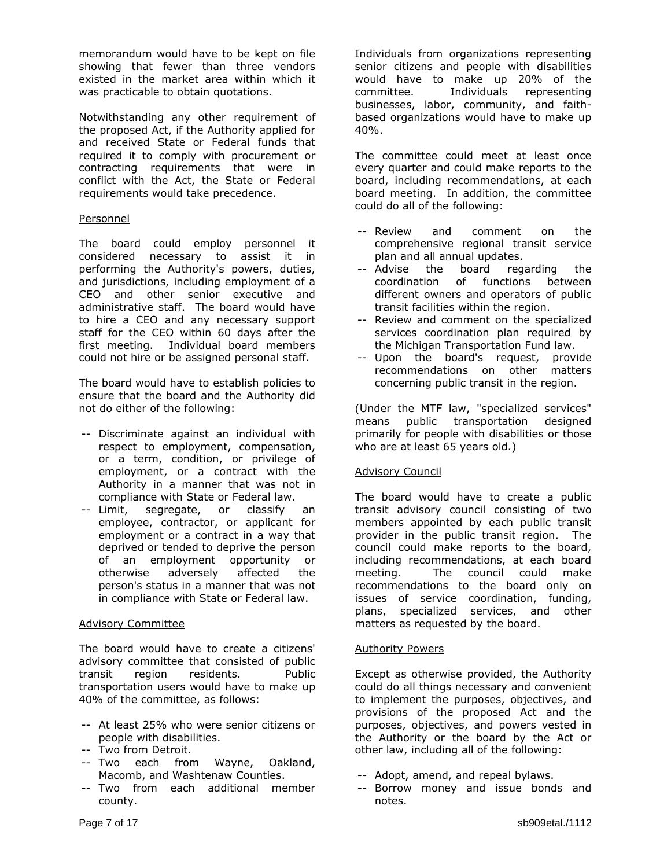memorandum would have to be kept on file showing that fewer than three vendors existed in the market area within which it was practicable to obtain quotations.

Notwithstanding any other requirement of the proposed Act, if the Authority applied for and received State or Federal funds that required it to comply with procurement or contracting requirements that were in conflict with the Act, the State or Federal requirements would take precedence.

## Personnel

The board could employ personnel it considered necessary to assist it in performing the Authority's powers, duties, and jurisdictions, including employment of a CEO and other senior executive and administrative staff. The board would have to hire a CEO and any necessary support staff for the CEO within 60 days after the first meeting. Individual board members could not hire or be assigned personal staff.

The board would have to establish policies to ensure that the board and the Authority did not do either of the following:

- -- Discriminate against an individual with respect to employment, compensation, or a term, condition, or privilege of employment, or a contract with the Authority in a manner that was not in compliance with State or Federal law.
- -- Limit, segregate, or classify an employee, contractor, or applicant for employment or a contract in a way that deprived or tended to deprive the person of an employment opportunity or otherwise adversely affected the person's status in a manner that was not in compliance with State or Federal law.

### Advisory Committee

The board would have to create a citizens' advisory committee that consisted of public transit region residents. Public transportation users would have to make up 40% of the committee, as follows:

- -- At least 25% who were senior citizens or people with disabilities.
- -- Two from Detroit.
- -- Two each from Wayne, Oakland, Macomb, and Washtenaw Counties.
- -- Two from each additional member county.

Individuals from organizations representing senior citizens and people with disabilities would have to make up 20% of the committee. Individuals representing businesses, labor, community, and faithbased organizations would have to make up 40%.

The committee could meet at least once every quarter and could make reports to the board, including recommendations, at each board meeting. In addition, the committee could do all of the following:

- -- Review and comment on the comprehensive regional transit service plan and all annual updates.
- -- Advise the board regarding the coordination of functions between different owners and operators of public transit facilities within the region.
- -- Review and comment on the specialized services coordination plan required by the Michigan Transportation Fund law.
- -- Upon the board's request, provide recommendations on other matters concerning public transit in the region.

(Under the MTF law, "specialized services" means public transportation designed primarily for people with disabilities or those who are at least 65 years old.)

## Advisory Council

The board would have to create a public transit advisory council consisting of two members appointed by each public transit provider in the public transit region. The council could make reports to the board, including recommendations, at each board meeting. The council could make recommendations to the board only on issues of service coordination, funding, plans, specialized services, and other matters as requested by the board.

## **Authority Powers**

Except as otherwise provided, the Authority could do all things necessary and convenient to implement the purposes, objectives, and provisions of the proposed Act and the purposes, objectives, and powers vested in the Authority or the board by the Act or other law, including all of the following:

- -- Adopt, amend, and repeal bylaws.
- -- Borrow money and issue bonds and notes.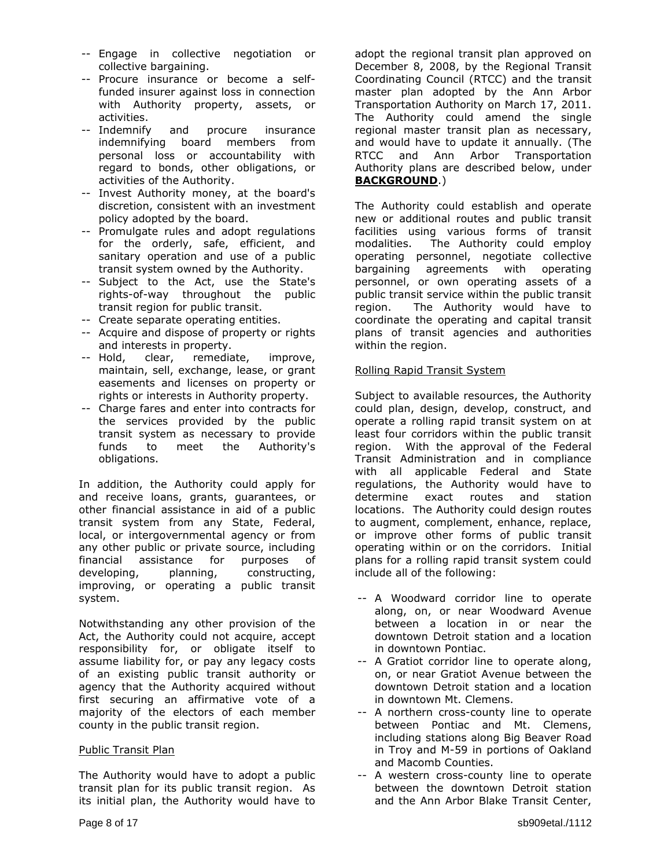- -- Engage in collective negotiation or collective bargaining.
- -- Procure insurance or become a selffunded insurer against loss in connection with Authority property, assets, or activities.
- -- Indemnify and procure insurance indemnifying board members from personal loss or accountability with regard to bonds, other obligations, or activities of the Authority.
- -- Invest Authority money, at the board's discretion, consistent with an investment policy adopted by the board.
- -- Promulgate rules and adopt regulations for the orderly, safe, efficient, and sanitary operation and use of a public transit system owned by the Authority.
- -- Subject to the Act, use the State's rights-of-way throughout the public transit region for public transit.
- -- Create separate operating entities.
- -- Acquire and dispose of property or rights and interests in property.
- -- Hold, clear, remediate, improve, maintain, sell, exchange, lease, or grant easements and licenses on property or rights or interests in Authority property.
- -- Charge fares and enter into contracts for the services provided by the public transit system as necessary to provide funds to meet the Authority's obligations.

In addition, the Authority could apply for and receive loans, grants, guarantees, or other financial assistance in aid of a public transit system from any State, Federal, local, or intergovernmental agency or from any other public or private source, including financial assistance for purposes of developing, planning, constructing, improving, or operating a public transit system.

Notwithstanding any other provision of the Act, the Authority could not acquire, accept responsibility for, or obligate itself to assume liability for, or pay any legacy costs of an existing public transit authority or agency that the Authority acquired without first securing an affirmative vote of a majority of the electors of each member county in the public transit region.

## Public Transit Plan

The Authority would have to adopt a public transit plan for its public transit region. As its initial plan, the Authority would have to

adopt the regional transit plan approved on December 8, 2008, by the Regional Transit Coordinating Council (RTCC) and the transit master plan adopted by the Ann Arbor Transportation Authority on March 17, 2011. The Authority could amend the single regional master transit plan as necessary, and would have to update it annually. (The RTCC and Ann Arbor Transportation Authority plans are described below, under **BACKGROUND**.)

The Authority could establish and operate new or additional routes and public transit facilities using various forms of transit modalities. The Authority could employ operating personnel, negotiate collective bargaining agreements with operating personnel, or own operating assets of a public transit service within the public transit region. The Authority would have to coordinate the operating and capital transit plans of transit agencies and authorities within the region.

### Rolling Rapid Transit System

Subject to available resources, the Authority could plan, design, develop, construct, and operate a rolling rapid transit system on at least four corridors within the public transit region. With the approval of the Federal Transit Administration and in compliance with all applicable Federal and State regulations, the Authority would have to determine exact routes and station locations. The Authority could design routes to augment, complement, enhance, replace, or improve other forms of public transit operating within or on the corridors. Initial plans for a rolling rapid transit system could include all of the following:

- -- A Woodward corridor line to operate along, on, or near Woodward Avenue between a location in or near the downtown Detroit station and a location in downtown Pontiac.
- -- A Gratiot corridor line to operate along, on, or near Gratiot Avenue between the downtown Detroit station and a location in downtown Mt. Clemens.
- -- A northern cross-county line to operate between Pontiac and Mt. Clemens, including stations along Big Beaver Road in Troy and M-59 in portions of Oakland and Macomb Counties.
- -- A western cross-county line to operate between the downtown Detroit station and the Ann Arbor Blake Transit Center,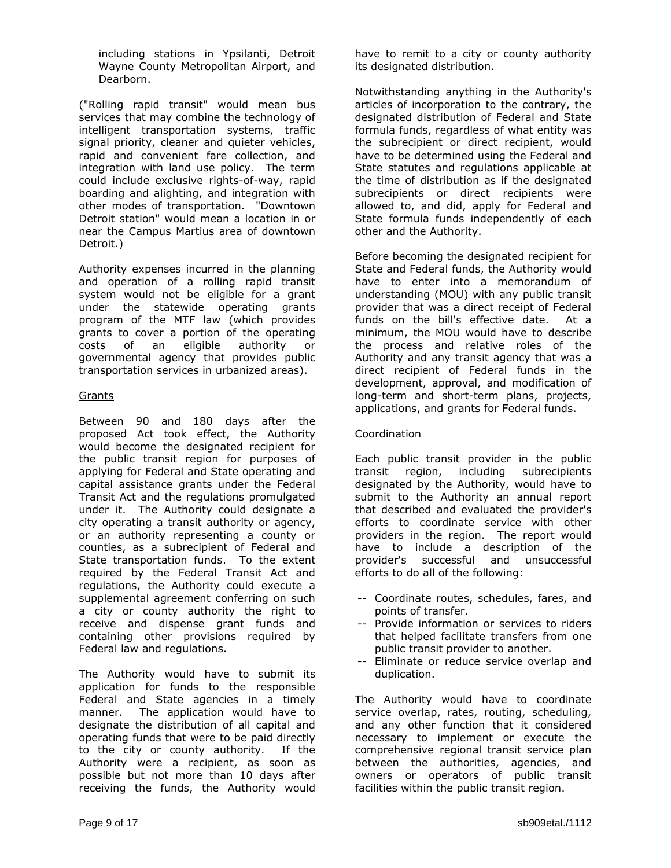including stations in Ypsilanti, Detroit Wayne County Metropolitan Airport, and Dearborn.

("Rolling rapid transit" would mean bus services that may combine the technology of intelligent transportation systems, traffic signal priority, cleaner and quieter vehicles, rapid and convenient fare collection, and integration with land use policy. The term could include exclusive rights-of-way, rapid boarding and alighting, and integration with other modes of transportation. "Downtown Detroit station" would mean a location in or near the Campus Martius area of downtown Detroit.)

Authority expenses incurred in the planning and operation of a rolling rapid transit system would not be eligible for a grant under the statewide operating grants program of the MTF law (which provides grants to cover a portion of the operating costs of an eligible authority or governmental agency that provides public transportation services in urbanized areas).

### Grants

Between 90 and 180 days after the proposed Act took effect, the Authority would become the designated recipient for the public transit region for purposes of applying for Federal and State operating and capital assistance grants under the Federal Transit Act and the regulations promulgated under it. The Authority could designate a city operating a transit authority or agency, or an authority representing a county or counties, as a subrecipient of Federal and State transportation funds. To the extent required by the Federal Transit Act and regulations, the Authority could execute a supplemental agreement conferring on such a city or county authority the right to receive and dispense grant funds and containing other provisions required by Federal law and regulations.

The Authority would have to submit its application for funds to the responsible Federal and State agencies in a timely manner. The application would have to designate the distribution of all capital and operating funds that were to be paid directly to the city or county authority. If the Authority were a recipient, as soon as possible but not more than 10 days after receiving the funds, the Authority would have to remit to a city or county authority its designated distribution.

Notwithstanding anything in the Authority's articles of incorporation to the contrary, the designated distribution of Federal and State formula funds, regardless of what entity was the subrecipient or direct recipient, would have to be determined using the Federal and State statutes and regulations applicable at the time of distribution as if the designated subrecipients or direct recipients were allowed to, and did, apply for Federal and State formula funds independently of each other and the Authority.

Before becoming the designated recipient for State and Federal funds, the Authority would have to enter into a memorandum of understanding (MOU) with any public transit provider that was a direct receipt of Federal funds on the bill's effective date. At a minimum, the MOU would have to describe the process and relative roles of the Authority and any transit agency that was a direct recipient of Federal funds in the development, approval, and modification of long-term and short-term plans, projects, applications, and grants for Federal funds.

## Coordination

Each public transit provider in the public transit region, including subrecipients designated by the Authority, would have to submit to the Authority an annual report that described and evaluated the provider's efforts to coordinate service with other providers in the region. The report would have to include a description of the provider's successful and unsuccessful efforts to do all of the following:

- -- Coordinate routes, schedules, fares, and points of transfer.
- -- Provide information or services to riders that helped facilitate transfers from one public transit provider to another.
- -- Eliminate or reduce service overlap and duplication.

The Authority would have to coordinate service overlap, rates, routing, scheduling, and any other function that it considered necessary to implement or execute the comprehensive regional transit service plan between the authorities, agencies, and owners or operators of public transit facilities within the public transit region.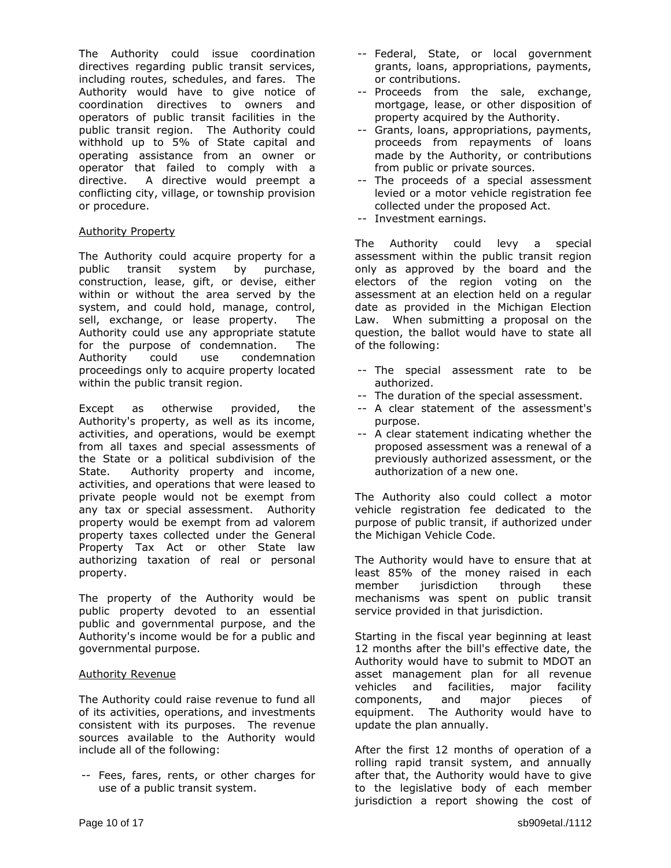The Authority could issue coordination directives regarding public transit services, including routes, schedules, and fares. The Authority would have to give notice of coordination directives to owners and operators of public transit facilities in the public transit region. The Authority could withhold up to 5% of State capital and operating assistance from an owner or operator that failed to comply with a directive. A directive would preempt a conflicting city, village, or township provision or procedure.

### Authority Property

The Authority could acquire property for a public transit system by purchase, construction, lease, gift, or devise, either within or without the area served by the system, and could hold, manage, control, sell, exchange, or lease property. The Authority could use any appropriate statute for the purpose of condemnation. The Authority could use condemnation proceedings only to acquire property located within the public transit region.

Except as otherwise provided, the Authority's property, as well as its income, activities, and operations, would be exempt from all taxes and special assessments of the State or a political subdivision of the State. Authority property and income, activities, and operations that were leased to private people would not be exempt from any tax or special assessment. Authority property would be exempt from ad valorem property taxes collected under the General Property Tax Act or other State law authorizing taxation of real or personal property.

The property of the Authority would be public property devoted to an essential public and governmental purpose, and the Authority's income would be for a public and governmental purpose.

### Authority Revenue

The Authority could raise revenue to fund all of its activities, operations, and investments consistent with its purposes. The revenue sources available to the Authority would include all of the following:

-- Fees, fares, rents, or other charges for use of a public transit system.

- -- Federal, State, or local government grants, loans, appropriations, payments, or contributions.
- -- Proceeds from the sale, exchange, mortgage, lease, or other disposition of property acquired by the Authority.
- -- Grants, loans, appropriations, payments, proceeds from repayments of loans made by the Authority, or contributions from public or private sources.
- -- The proceeds of a special assessment levied or a motor vehicle registration fee collected under the proposed Act.
- -- Investment earnings.

The Authority could levy a special assessment within the public transit region only as approved by the board and the electors of the region voting on the assessment at an election held on a regular date as provided in the Michigan Election Law. When submitting a proposal on the question, the ballot would have to state all of the following:

- -- The special assessment rate to be authorized.
- -- The duration of the special assessment.
- -- A clear statement of the assessment's purpose.
- -- A clear statement indicating whether the proposed assessment was a renewal of a previously authorized assessment, or the authorization of a new one.

The Authority also could collect a motor vehicle registration fee dedicated to the purpose of public transit, if authorized under the Michigan Vehicle Code.

The Authority would have to ensure that at least 85% of the money raised in each member jurisdiction through these mechanisms was spent on public transit service provided in that jurisdiction.

Starting in the fiscal year beginning at least 12 months after the bill's effective date, the Authority would have to submit to MDOT an asset management plan for all revenue vehicles and facilities, major facility components, and major pieces of equipment. The Authority would have to update the plan annually.

After the first 12 months of operation of a rolling rapid transit system, and annually after that, the Authority would have to give to the legislative body of each member jurisdiction a report showing the cost of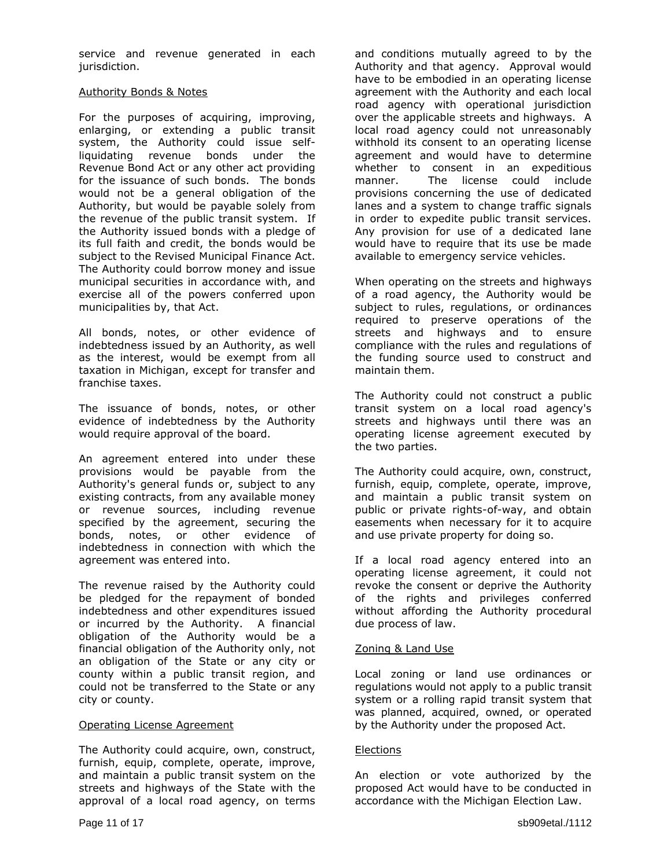service and revenue generated in each jurisdiction.

### Authority Bonds & Notes

For the purposes of acquiring, improving, enlarging, or extending a public transit system, the Authority could issue selfliquidating revenue bonds under the Revenue Bond Act or any other act providing for the issuance of such bonds. The bonds would not be a general obligation of the Authority, but would be payable solely from the revenue of the public transit system. If the Authority issued bonds with a pledge of its full faith and credit, the bonds would be subject to the Revised Municipal Finance Act. The Authority could borrow money and issue municipal securities in accordance with, and exercise all of the powers conferred upon municipalities by, that Act.

All bonds, notes, or other evidence of indebtedness issued by an Authority, as well as the interest, would be exempt from all taxation in Michigan, except for transfer and franchise taxes.

The issuance of bonds, notes, or other evidence of indebtedness by the Authority would require approval of the board.

An agreement entered into under these provisions would be payable from the Authority's general funds or, subject to any existing contracts, from any available money or revenue sources, including revenue specified by the agreement, securing the bonds, notes, or other evidence of indebtedness in connection with which the agreement was entered into.

The revenue raised by the Authority could be pledged for the repayment of bonded indebtedness and other expenditures issued or incurred by the Authority. A financial obligation of the Authority would be a financial obligation of the Authority only, not an obligation of the State or any city or county within a public transit region, and could not be transferred to the State or any city or county.

### Operating License Agreement

The Authority could acquire, own, construct, furnish, equip, complete, operate, improve, and maintain a public transit system on the streets and highways of the State with the approval of a local road agency, on terms

and conditions mutually agreed to by the Authority and that agency. Approval would have to be embodied in an operating license agreement with the Authority and each local road agency with operational jurisdiction over the applicable streets and highways. A local road agency could not unreasonably withhold its consent to an operating license agreement and would have to determine whether to consent in an expeditious manner. The license could include provisions concerning the use of dedicated lanes and a system to change traffic signals in order to expedite public transit services. Any provision for use of a dedicated lane would have to require that its use be made available to emergency service vehicles.

When operating on the streets and highways of a road agency, the Authority would be subject to rules, regulations, or ordinances required to preserve operations of the streets and highways and to ensure compliance with the rules and regulations of the funding source used to construct and maintain them.

The Authority could not construct a public transit system on a local road agency's streets and highways until there was an operating license agreement executed by the two parties.

The Authority could acquire, own, construct, furnish, equip, complete, operate, improve, and maintain a public transit system on public or private rights-of-way, and obtain easements when necessary for it to acquire and use private property for doing so.

If a local road agency entered into an operating license agreement, it could not revoke the consent or deprive the Authority of the rights and privileges conferred without affording the Authority procedural due process of law.

### Zoning & Land Use

Local zoning or land use ordinances or regulations would not apply to a public transit system or a rolling rapid transit system that was planned, acquired, owned, or operated by the Authority under the proposed Act.

### Elections

An election or vote authorized by the proposed Act would have to be conducted in accordance with the Michigan Election Law.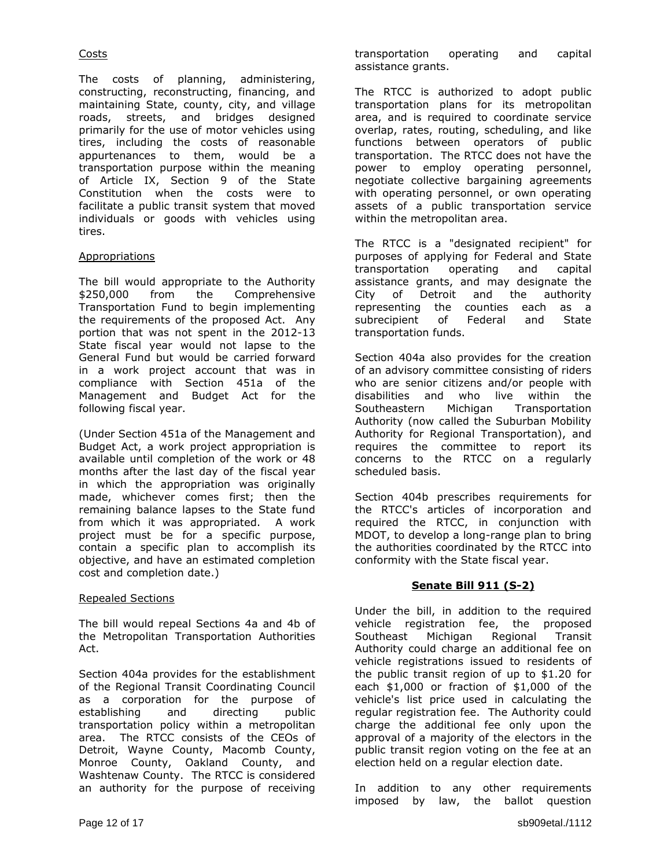## Costs

The costs of planning, administering, constructing, reconstructing, financing, and maintaining State, county, city, and village roads, streets, and bridges designed primarily for the use of motor vehicles using tires, including the costs of reasonable appurtenances to them, would be a transportation purpose within the meaning of Article IX, Section 9 of the State Constitution when the costs were to facilitate a public transit system that moved individuals or goods with vehicles using tires.

## Appropriations

The bill would appropriate to the Authority \$250,000 from the Comprehensive Transportation Fund to begin implementing the requirements of the proposed Act. Any portion that was not spent in the 2012-13 State fiscal year would not lapse to the General Fund but would be carried forward in a work project account that was in compliance with Section 451a of the Management and Budget Act for the following fiscal year.

(Under Section 451a of the Management and Budget Act, a work project appropriation is available until completion of the work or 48 months after the last day of the fiscal year in which the appropriation was originally made, whichever comes first; then the remaining balance lapses to the State fund from which it was appropriated. A work project must be for a specific purpose, contain a specific plan to accomplish its objective, and have an estimated completion cost and completion date.)

### Repealed Sections

The bill would repeal Sections 4a and 4b of the Metropolitan Transportation Authorities Act.

Section 404a provides for the establishment of the Regional Transit Coordinating Council as a corporation for the purpose of establishing and directing public transportation policy within a metropolitan area. The RTCC consists of the CEOs of Detroit, Wayne County, Macomb County, Monroe County, Oakland County, and Washtenaw County. The RTCC is considered an authority for the purpose of receiving

transportation operating and capital assistance grants.

The RTCC is authorized to adopt public transportation plans for its metropolitan area, and is required to coordinate service overlap, rates, routing, scheduling, and like functions between operators of public transportation. The RTCC does not have the power to employ operating personnel, negotiate collective bargaining agreements with operating personnel, or own operating assets of a public transportation service within the metropolitan area.

The RTCC is a "designated recipient" for purposes of applying for Federal and State transportation operating and capital assistance grants, and may designate the City of Detroit and the authority representing the counties each as a subrecipient of Federal and State transportation funds.

Section 404a also provides for the creation of an advisory committee consisting of riders who are senior citizens and/or people with disabilities and who live within the Southeastern Michigan Transportation Authority (now called the Suburban Mobility Authority for Regional Transportation), and requires the committee to report its concerns to the RTCC on a regularly scheduled basis.

Section 404b prescribes requirements for the RTCC's articles of incorporation and required the RTCC, in conjunction with MDOT, to develop a long-range plan to bring the authorities coordinated by the RTCC into conformity with the State fiscal year.

### **Senate Bill 911 (S-2)**

Under the bill, in addition to the required vehicle registration fee, the proposed Southeast Michigan Regional Transit Authority could charge an additional fee on vehicle registrations issued to residents of the public transit region of up to \$1.20 for each \$1,000 or fraction of \$1,000 of the vehicle's list price used in calculating the regular registration fee. The Authority could charge the additional fee only upon the approval of a majority of the electors in the public transit region voting on the fee at an election held on a regular election date.

In addition to any other requirements imposed by law, the ballot question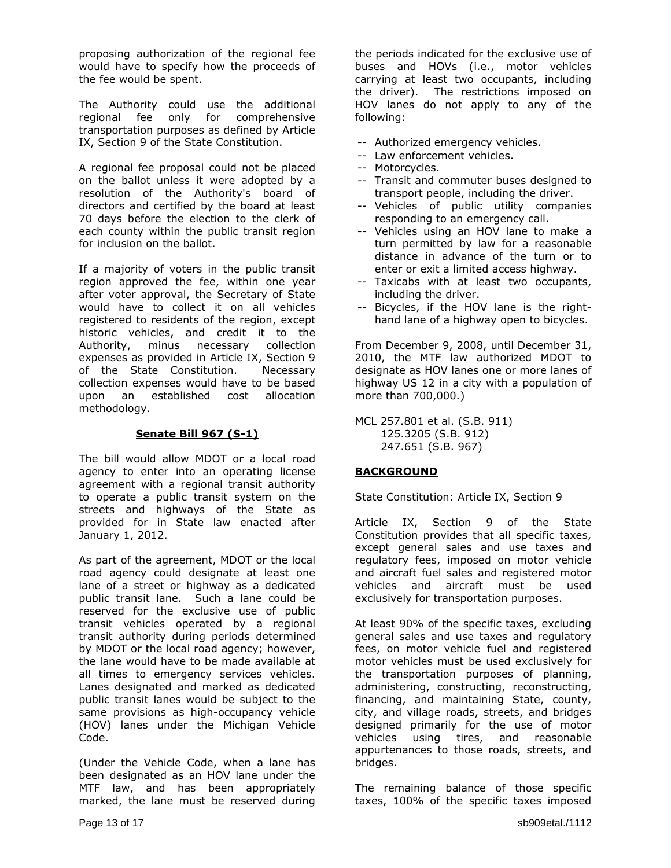proposing authorization of the regional fee would have to specify how the proceeds of the fee would be spent.

The Authority could use the additional regional fee only for comprehensive transportation purposes as defined by Article IX, Section 9 of the State Constitution.

A regional fee proposal could not be placed on the ballot unless it were adopted by a resolution of the Authority's board of directors and certified by the board at least 70 days before the election to the clerk of each county within the public transit region for inclusion on the ballot.

If a majority of voters in the public transit region approved the fee, within one year after voter approval, the Secretary of State would have to collect it on all vehicles registered to residents of the region, except historic vehicles, and credit it to the Authority, minus necessary collection expenses as provided in Article IX, Section 9 of the State Constitution. Necessary collection expenses would have to be based upon an established cost allocation methodology.

## **Senate Bill 967 (S-1)**

The bill would allow MDOT or a local road agency to enter into an operating license agreement with a regional transit authority to operate a public transit system on the streets and highways of the State as provided for in State law enacted after January 1, 2012.

As part of the agreement, MDOT or the local road agency could designate at least one lane of a street or highway as a dedicated public transit lane. Such a lane could be reserved for the exclusive use of public transit vehicles operated by a regional transit authority during periods determined by MDOT or the local road agency; however, the lane would have to be made available at all times to emergency services vehicles. Lanes designated and marked as dedicated public transit lanes would be subject to the same provisions as high-occupancy vehicle (HOV) lanes under the Michigan Vehicle Code.

(Under the Vehicle Code, when a lane has been designated as an HOV lane under the MTF law, and has been appropriately marked, the lane must be reserved during

the periods indicated for the exclusive use of buses and HOVs (i.e., motor vehicles carrying at least two occupants, including the driver). The restrictions imposed on HOV lanes do not apply to any of the following:

- -- Authorized emergency vehicles.
- -- Law enforcement vehicles.
- -- Motorcycles.
- -- Transit and commuter buses designed to transport people, including the driver.
- -- Vehicles of public utility companies responding to an emergency call.
- -- Vehicles using an HOV lane to make a turn permitted by law for a reasonable distance in advance of the turn or to enter or exit a limited access highway.
- -- Taxicabs with at least two occupants, including the driver.
- -- Bicycles, if the HOV lane is the righthand lane of a highway open to bicycles.

From December 9, 2008, until December 31, 2010, the MTF law authorized MDOT to designate as HOV lanes one or more lanes of highway US 12 in a city with a population of more than 700,000.)

MCL 257.801 et al. (S.B. 911) 125.3205 (S.B. 912) 247.651 (S.B. 967)

## **BACKGROUND**

### State Constitution: Article IX, Section 9

Article IX, Section 9 of the State Constitution provides that all specific taxes, except general sales and use taxes and regulatory fees, imposed on motor vehicle and aircraft fuel sales and registered motor vehicles and aircraft must be used exclusively for transportation purposes.

At least 90% of the specific taxes, excluding general sales and use taxes and regulatory fees, on motor vehicle fuel and registered motor vehicles must be used exclusively for the transportation purposes of planning, administering, constructing, reconstructing, financing, and maintaining State, county, city, and village roads, streets, and bridges designed primarily for the use of motor vehicles using tires, and reasonable appurtenances to those roads, streets, and bridges.

The remaining balance of those specific taxes, 100% of the specific taxes imposed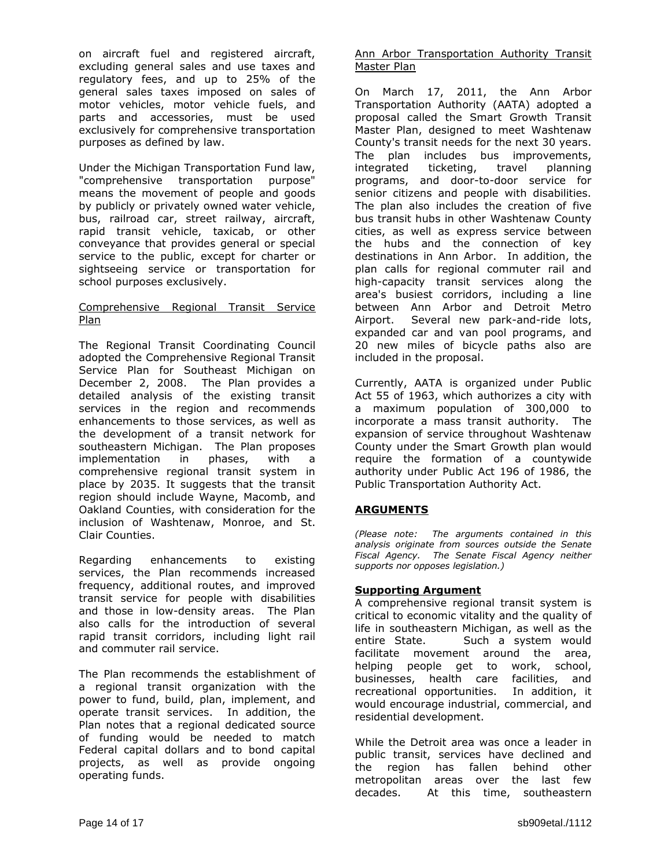on aircraft fuel and registered aircraft, excluding general sales and use taxes and regulatory fees, and up to 25% of the general sales taxes imposed on sales of motor vehicles, motor vehicle fuels, and parts and accessories, must be used exclusively for comprehensive transportation purposes as defined by law.

Under the Michigan Transportation Fund law, "comprehensive transportation purpose" means the movement of people and goods by publicly or privately owned water vehicle, bus, railroad car, street railway, aircraft, rapid transit vehicle, taxicab, or other conveyance that provides general or special service to the public, except for charter or sightseeing service or transportation for school purposes exclusively.

## Comprehensive Regional Transit Service Plan

The Regional Transit Coordinating Council adopted the Comprehensive Regional Transit Service Plan for Southeast Michigan on December 2, 2008. The Plan provides a detailed analysis of the existing transit services in the region and recommends enhancements to those services, as well as the development of a transit network for southeastern Michigan. The Plan proposes implementation in phases, with a comprehensive regional transit system in place by 2035. It suggests that the transit region should include Wayne, Macomb, and Oakland Counties, with consideration for the inclusion of Washtenaw, Monroe, and St. Clair Counties.

Regarding enhancements to existing services, the Plan recommends increased frequency, additional routes, and improved transit service for people with disabilities and those in low-density areas. The Plan also calls for the introduction of several rapid transit corridors, including light rail and commuter rail service.

The Plan recommends the establishment of a regional transit organization with the power to fund, build, plan, implement, and operate transit services. In addition, the Plan notes that a regional dedicated source of funding would be needed to match Federal capital dollars and to bond capital projects, as well as provide ongoing operating funds.

## Ann Arbor Transportation Authority Transit Master Plan

On March 17, 2011, the Ann Arbor Transportation Authority (AATA) adopted a proposal called the Smart Growth Transit Master Plan, designed to meet Washtenaw County's transit needs for the next 30 years. The plan includes bus improvements, integrated ticketing, travel planning programs, and door-to-door service for senior citizens and people with disabilities. The plan also includes the creation of five bus transit hubs in other Washtenaw County cities, as well as express service between the hubs and the connection of key destinations in Ann Arbor. In addition, the plan calls for regional commuter rail and high-capacity transit services along the area's busiest corridors, including a line between Ann Arbor and Detroit Metro Airport. Several new park-and-ride lots, expanded car and van pool programs, and 20 new miles of bicycle paths also are included in the proposal.

Currently, AATA is organized under Public Act 55 of 1963, which authorizes a city with a maximum population of 300,000 to incorporate a mass transit authority. The expansion of service throughout Washtenaw County under the Smart Growth plan would require the formation of a countywide authority under Public Act 196 of 1986, the Public Transportation Authority Act.

# **ARGUMENTS**

*(Please note: The arguments contained in this analysis originate from sources outside the Senate Fiscal Agency. The Senate Fiscal Agency neither supports nor opposes legislation.)*

## **Supporting Argument**

A comprehensive regional transit system is critical to economic vitality and the quality of life in southeastern Michigan, as well as the entire State. Such a system would facilitate movement around the area, helping people get to work, school, businesses, health care facilities, and recreational opportunities. In addition, it would encourage industrial, commercial, and residential development.

While the Detroit area was once a leader in public transit, services have declined and the region has fallen behind other metropolitan areas over the last few decades. At this time, southeastern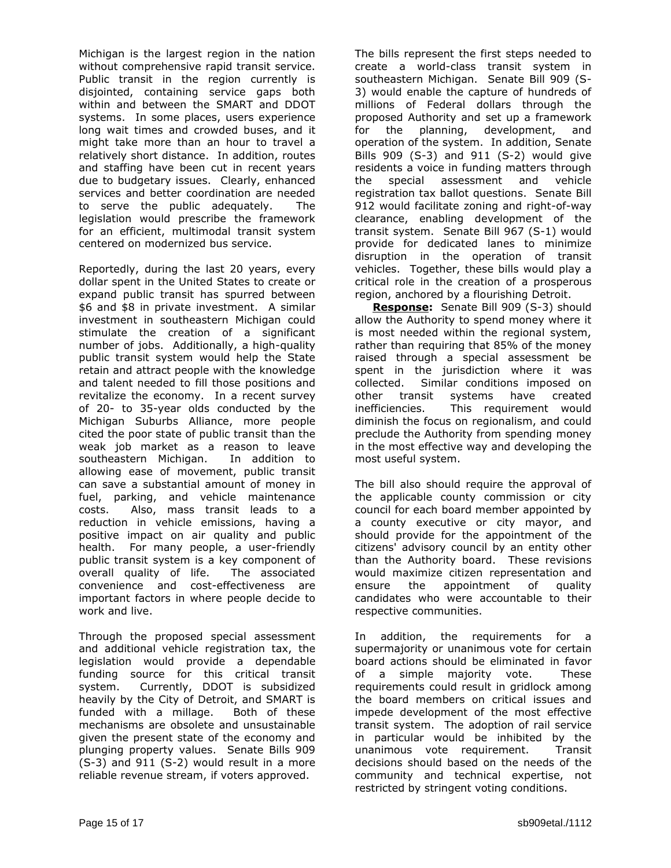Michigan is the largest region in the nation without comprehensive rapid transit service. Public transit in the region currently is disjointed, containing service gaps both within and between the SMART and DDOT systems. In some places, users experience long wait times and crowded buses, and it might take more than an hour to travel a relatively short distance. In addition, routes and staffing have been cut in recent years due to budgetary issues. Clearly, enhanced services and better coordination are needed to serve the public adequately. The legislation would prescribe the framework for an efficient, multimodal transit system centered on modernized bus service.

Reportedly, during the last 20 years, every dollar spent in the United States to create or expand public transit has spurred between \$6 and \$8 in private investment. A similar investment in southeastern Michigan could stimulate the creation of a significant number of jobs. Additionally, a high-quality public transit system would help the State retain and attract people with the knowledge and talent needed to fill those positions and revitalize the economy. In a recent survey of 20- to 35-year olds conducted by the Michigan Suburbs Alliance, more people cited the poor state of public transit than the weak job market as a reason to leave southeastern Michigan. In addition to allowing ease of movement, public transit can save a substantial amount of money in fuel, parking, and vehicle maintenance costs. Also, mass transit leads to a reduction in vehicle emissions, having a positive impact on air quality and public health. For many people, a user-friendly public transit system is a key component of overall quality of life. The associated convenience and cost-effectiveness are important factors in where people decide to work and live.

Through the proposed special assessment and additional vehicle registration tax, the legislation would provide a dependable funding source for this critical transit system. Currently, DDOT is subsidized heavily by the City of Detroit, and SMART is funded with a millage. Both of these mechanisms are obsolete and unsustainable given the present state of the economy and plunging property values. Senate Bills 909 (S-3) and 911 (S-2) would result in a more reliable revenue stream, if voters approved.

The bills represent the first steps needed to create a world-class transit system in southeastern Michigan. Senate Bill 909 (S-3) would enable the capture of hundreds of millions of Federal dollars through the proposed Authority and set up a framework for the planning, development, and operation of the system. In addition, Senate Bills 909 (S-3) and 911 (S-2) would give residents a voice in funding matters through the special assessment and vehicle registration tax ballot questions. Senate Bill 912 would facilitate zoning and right-of-way clearance, enabling development of the transit system. Senate Bill 967 (S-1) would provide for dedicated lanes to minimize disruption in the operation of transit vehicles. Together, these bills would play a critical role in the creation of a prosperous region, anchored by a flourishing Detroit.

 **Response:** Senate Bill 909 (S-3) should allow the Authority to spend money where it is most needed within the regional system, rather than requiring that 85% of the money raised through a special assessment be spent in the jurisdiction where it was collected. Similar conditions imposed on other transit systems have created inefficiencies. This requirement would diminish the focus on regionalism, and could preclude the Authority from spending money in the most effective way and developing the most useful system.

The bill also should require the approval of the applicable county commission or city council for each board member appointed by a county executive or city mayor, and should provide for the appointment of the citizens' advisory council by an entity other than the Authority board. These revisions would maximize citizen representation and ensure the appointment of quality candidates who were accountable to their respective communities.

In addition, the requirements for a supermajority or unanimous vote for certain board actions should be eliminated in favor of a simple majority vote. These requirements could result in gridlock among the board members on critical issues and impede development of the most effective transit system. The adoption of rail service in particular would be inhibited by the unanimous vote requirement. Transit decisions should based on the needs of the community and technical expertise, not restricted by stringent voting conditions.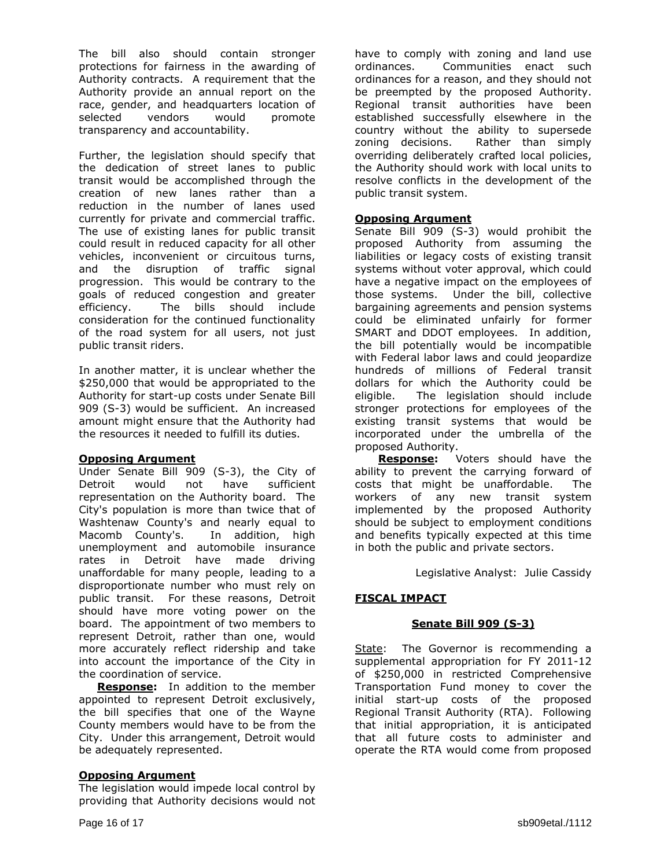The bill also should contain stronger protections for fairness in the awarding of Authority contracts. A requirement that the Authority provide an annual report on the race, gender, and headquarters location of selected vendors would promote transparency and accountability.

Further, the legislation should specify that the dedication of street lanes to public transit would be accomplished through the creation of new lanes rather than a reduction in the number of lanes used currently for private and commercial traffic. The use of existing lanes for public transit could result in reduced capacity for all other vehicles, inconvenient or circuitous turns, and the disruption of traffic signal progression. This would be contrary to the goals of reduced congestion and greater efficiency. The bills should include consideration for the continued functionality of the road system for all users, not just public transit riders.

In another matter, it is unclear whether the \$250,000 that would be appropriated to the Authority for start-up costs under Senate Bill 909 (S-3) would be sufficient. An increased amount might ensure that the Authority had the resources it needed to fulfill its duties.

### **Opposing Argument**

Under Senate Bill 909 (S-3), the City of Detroit would not have sufficient representation on the Authority board. The City's population is more than twice that of Washtenaw County's and nearly equal to Macomb County's. In addition, high unemployment and automobile insurance rates in Detroit have made driving unaffordable for many people, leading to a disproportionate number who must rely on public transit. For these reasons, Detroit should have more voting power on the board. The appointment of two members to represent Detroit, rather than one, would more accurately reflect ridership and take into account the importance of the City in the coordination of service.

 **Response:** In addition to the member appointed to represent Detroit exclusively, the bill specifies that one of the Wayne County members would have to be from the City. Under this arrangement, Detroit would be adequately represented.

### **Opposing Argument**

The legislation would impede local control by providing that Authority decisions would not have to comply with zoning and land use ordinances. Communities enact such ordinances for a reason, and they should not be preempted by the proposed Authority. Regional transit authorities have been established successfully elsewhere in the country without the ability to supersede zoning decisions. Rather than simply overriding deliberately crafted local policies, the Authority should work with local units to resolve conflicts in the development of the public transit system.

### **Opposing Argument**

Senate Bill 909 (S-3) would prohibit the proposed Authority from assuming the liabilities or legacy costs of existing transit systems without voter approval, which could have a negative impact on the employees of those systems. Under the bill, collective bargaining agreements and pension systems could be eliminated unfairly for former SMART and DDOT employees. In addition, the bill potentially would be incompatible with Federal labor laws and could jeopardize hundreds of millions of Federal transit dollars for which the Authority could be eligible. The legislation should include stronger protections for employees of the existing transit systems that would be incorporated under the umbrella of the proposed Authority.

**Response:** Voters should have the ability to prevent the carrying forward of costs that might be unaffordable. The workers of any new transit system implemented by the proposed Authority should be subject to employment conditions and benefits typically expected at this time in both the public and private sectors.

Legislative Analyst: Julie Cassidy

## **FISCAL IMPACT**

### **Senate Bill 909 (S-3)**

State: The Governor is recommending a supplemental appropriation for FY 2011-12 of \$250,000 in restricted Comprehensive Transportation Fund money to cover the initial start-up costs of the proposed Regional Transit Authority (RTA). Following that initial appropriation, it is anticipated that all future costs to administer and operate the RTA would come from proposed